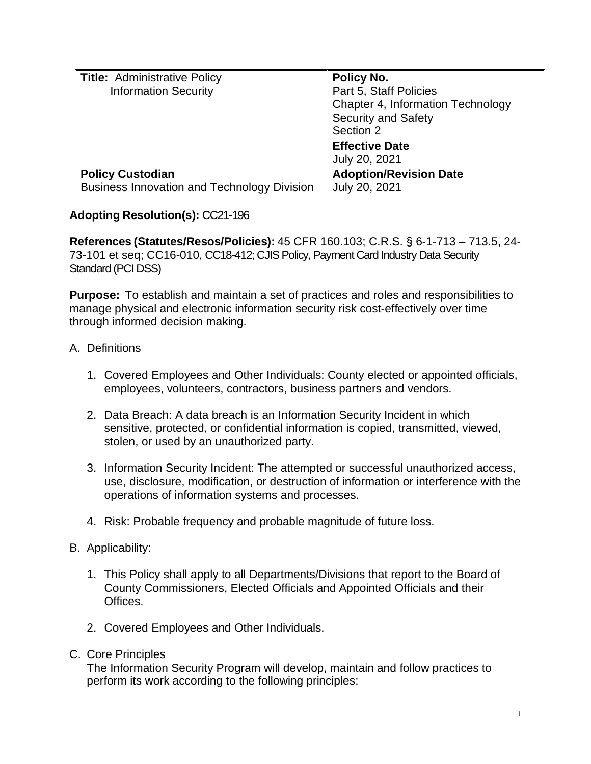| Title: Administrative Policy                       | Policy No.                        |
|----------------------------------------------------|-----------------------------------|
| <b>Information Security</b>                        | Part 5, Staff Policies            |
|                                                    | Chapter 4, Information Technology |
|                                                    | <b>Security and Safety</b>        |
|                                                    | Section 2                         |
|                                                    | <b>Effective Date</b>             |
|                                                    | July 20, 2021                     |
| <b>Policy Custodian</b>                            | <b>Adoption/Revision Date</b>     |
| <b>Business Innovation and Technology Division</b> | July 20, 2021                     |

# **Adopting Resolution(s):** CC21-196

**References (Statutes/Resos/Policies):** 45 CFR 160.103; C.R.S. § 6-1-713 – 713.5, 24- 73-101 et seq; CC16-010, CC18-412; CJIS Policy, Payment Card Industry Data Security Standard (PCI DSS)

**Purpose:** To establish and maintain a set of practices and roles and responsibilities to manage physical and electronic information security risk cost-effectively over time through informed decision making.

## A. Definitions

- 1. Covered Employees and Other Individuals: County elected or appointed officials, employees, volunteers, contractors, business partners and vendors.
- 2. Data Breach: A data breach is an Information Security Incident in which sensitive, protected, or confidential information is copied, transmitted, viewed, stolen, or used by an unauthorized party.
- 3. Information Security Incident: The attempted or successful unauthorized access, use, disclosure, modification, or destruction of information or interference with the operations of information systems and processes.
- 4. Risk: Probable frequency and probable magnitude of future loss.

## B. Applicability:

- 1. This Policy shall apply to all Departments/Divisions that report to the Board of County Commissioners, Elected Officials and Appointed Officials and their Offices.
- 2. Covered Employees and Other Individuals.

## C. Core Principles

The Information Security Program will develop, maintain and follow practices to perform its work according to the following principles: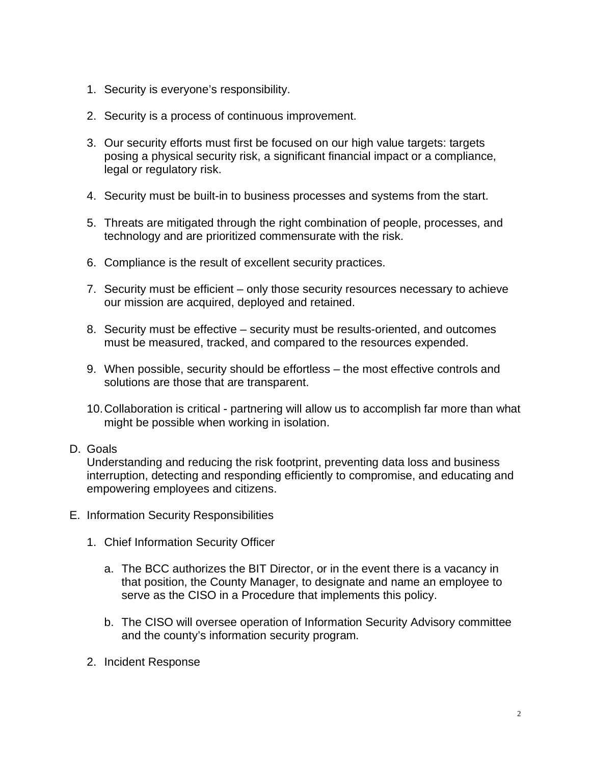- 1. Security is everyone's responsibility.
- 2. Security is a process of continuous improvement.
- 3. Our security efforts must first be focused on our high value targets: targets posing a physical security risk, a significant financial impact or a compliance, legal or regulatory risk.
- 4. Security must be built-in to business processes and systems from the start.
- 5. Threats are mitigated through the right combination of people, processes, and technology and are prioritized commensurate with the risk.
- 6. Compliance is the result of excellent security practices.
- 7. Security must be efficient only those security resources necessary to achieve our mission are acquired, deployed and retained.
- 8. Security must be effective security must be results-oriented, and outcomes must be measured, tracked, and compared to the resources expended.
- 9. When possible, security should be effortless the most effective controls and solutions are those that are transparent.
- 10.Collaboration is critical partnering will allow us to accomplish far more than what might be possible when working in isolation.

## D. Goals

Understanding and reducing the risk footprint, preventing data loss and business interruption, detecting and responding efficiently to compromise, and educating and empowering employees and citizens.

- E. Information Security Responsibilities
	- 1. Chief Information Security Officer
		- a. The BCC authorizes the BIT Director, or in the event there is a vacancy in that position, the County Manager, to designate and name an employee to serve as the CISO in a Procedure that implements this policy.
		- b. The CISO will oversee operation of Information Security Advisory committee and the county's information security program.
	- 2. Incident Response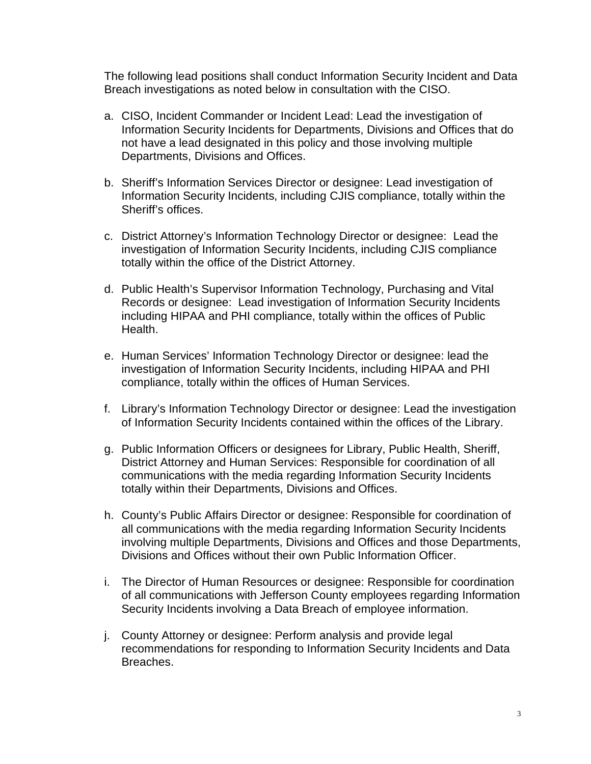The following lead positions shall conduct Information Security Incident and Data Breach investigations as noted below in consultation with the CISO.

- a. CISO, Incident Commander or Incident Lead: Lead the investigation of Information Security Incidents for Departments, Divisions and Offices that do not have a lead designated in this policy and those involving multiple Departments, Divisions and Offices.
- b. Sheriff's Information Services Director or designee: Lead investigation of Information Security Incidents, including CJIS compliance, totally within the Sheriff's offices.
- c. District Attorney's Information Technology Director or designee: Lead the investigation of Information Security Incidents, including CJIS compliance totally within the office of the District Attorney.
- d. Public Health's Supervisor Information Technology, Purchasing and Vital Records or designee: Lead investigation of Information Security Incidents including HIPAA and PHI compliance, totally within the offices of Public Health.
- e. Human Services' Information Technology Director or designee: lead the investigation of Information Security Incidents, including HIPAA and PHI compliance, totally within the offices of Human Services.
- f. Library's Information Technology Director or designee: Lead the investigation of Information Security Incidents contained within the offices of the Library.
- g. Public Information Officers or designees for Library, Public Health, Sheriff, District Attorney and Human Services: Responsible for coordination of all communications with the media regarding Information Security Incidents totally within their Departments, Divisions and Offices.
- h. County's Public Affairs Director or designee: Responsible for coordination of all communications with the media regarding Information Security Incidents involving multiple Departments, Divisions and Offices and those Departments, Divisions and Offices without their own Public Information Officer.
- i. The Director of Human Resources or designee: Responsible for coordination of all communications with Jefferson County employees regarding Information Security Incidents involving a Data Breach of employee information.
- j. County Attorney or designee: Perform analysis and provide legal recommendations for responding to Information Security Incidents and Data Breaches.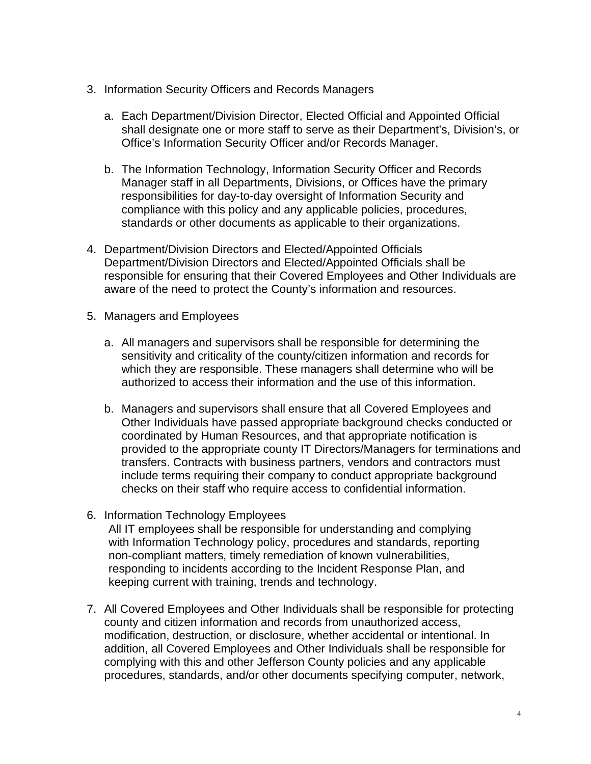- 3. Information Security Officers and Records Managers
	- a. Each Department/Division Director, Elected Official and Appointed Official shall designate one or more staff to serve as their Department's, Division's, or Office's Information Security Officer and/or Records Manager.
	- b. The Information Technology, Information Security Officer and Records Manager staff in all Departments, Divisions, or Offices have the primary responsibilities for day-to-day oversight of Information Security and compliance with this policy and any applicable policies, procedures, standards or other documents as applicable to their organizations.
- 4. Department/Division Directors and Elected/Appointed Officials Department/Division Directors and Elected/Appointed Officials shall be responsible for ensuring that their Covered Employees and Other Individuals are aware of the need to protect the County's information and resources.
- 5. Managers and Employees
	- a. All managers and supervisors shall be responsible for determining the sensitivity and criticality of the county/citizen information and records for which they are responsible. These managers shall determine who will be authorized to access their information and the use of this information.
	- b. Managers and supervisors shall ensure that all Covered Employees and Other Individuals have passed appropriate background checks conducted or coordinated by Human Resources, and that appropriate notification is provided to the appropriate county IT Directors/Managers for terminations and transfers. Contracts with business partners, vendors and contractors must include terms requiring their company to conduct appropriate background checks on their staff who require access to confidential information.
- 6. Information Technology Employees All IT employees shall be responsible for understanding and complying with Information Technology policy, procedures and standards, reporting non-compliant matters, timely remediation of known vulnerabilities, responding to incidents according to the Incident Response Plan, and keeping current with training, trends and technology.
- 7. All Covered Employees and Other Individuals shall be responsible for protecting county and citizen information and records from unauthorized access, modification, destruction, or disclosure, whether accidental or intentional. In addition, all Covered Employees and Other Individuals shall be responsible for complying with this and other Jefferson County policies and any applicable procedures, standards, and/or other documents specifying computer, network,